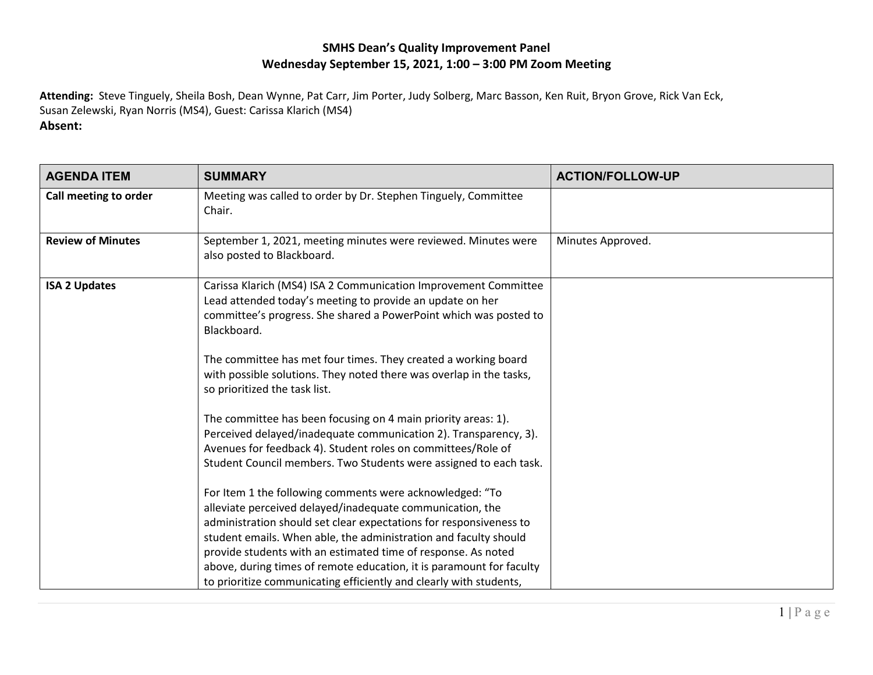## **SMHS Dean's Quality Improvement Panel Wednesday September 15, 2021, 1:00 – 3:00 PM Zoom Meeting**

**Attending:** Steve Tinguely, Sheila Bosh, Dean Wynne, Pat Carr, Jim Porter, Judy Solberg, Marc Basson, Ken Ruit, Bryon Grove, Rick Van Eck, Susan Zelewski, Ryan Norris (MS4), Guest: Carissa Klarich (MS4)

## **Absent:**

| <b>AGENDA ITEM</b>       | <b>SUMMARY</b>                                                                                                                                                                                                                                                                                                                   | <b>ACTION/FOLLOW-UP</b> |
|--------------------------|----------------------------------------------------------------------------------------------------------------------------------------------------------------------------------------------------------------------------------------------------------------------------------------------------------------------------------|-------------------------|
| Call meeting to order    | Meeting was called to order by Dr. Stephen Tinguely, Committee<br>Chair.                                                                                                                                                                                                                                                         |                         |
| <b>Review of Minutes</b> | September 1, 2021, meeting minutes were reviewed. Minutes were<br>also posted to Blackboard.                                                                                                                                                                                                                                     | Minutes Approved.       |
| <b>ISA 2 Updates</b>     | Carissa Klarich (MS4) ISA 2 Communication Improvement Committee<br>Lead attended today's meeting to provide an update on her<br>committee's progress. She shared a PowerPoint which was posted to<br>Blackboard.                                                                                                                 |                         |
|                          | The committee has met four times. They created a working board<br>with possible solutions. They noted there was overlap in the tasks,<br>so prioritized the task list.                                                                                                                                                           |                         |
|                          | The committee has been focusing on 4 main priority areas: 1).<br>Perceived delayed/inadequate communication 2). Transparency, 3).<br>Avenues for feedback 4). Student roles on committees/Role of<br>Student Council members. Two Students were assigned to each task.                                                           |                         |
|                          | For Item 1 the following comments were acknowledged: "To<br>alleviate perceived delayed/inadequate communication, the<br>administration should set clear expectations for responsiveness to<br>student emails. When able, the administration and faculty should<br>provide students with an estimated time of response. As noted |                         |
|                          | above, during times of remote education, it is paramount for faculty<br>to prioritize communicating efficiently and clearly with students,                                                                                                                                                                                       |                         |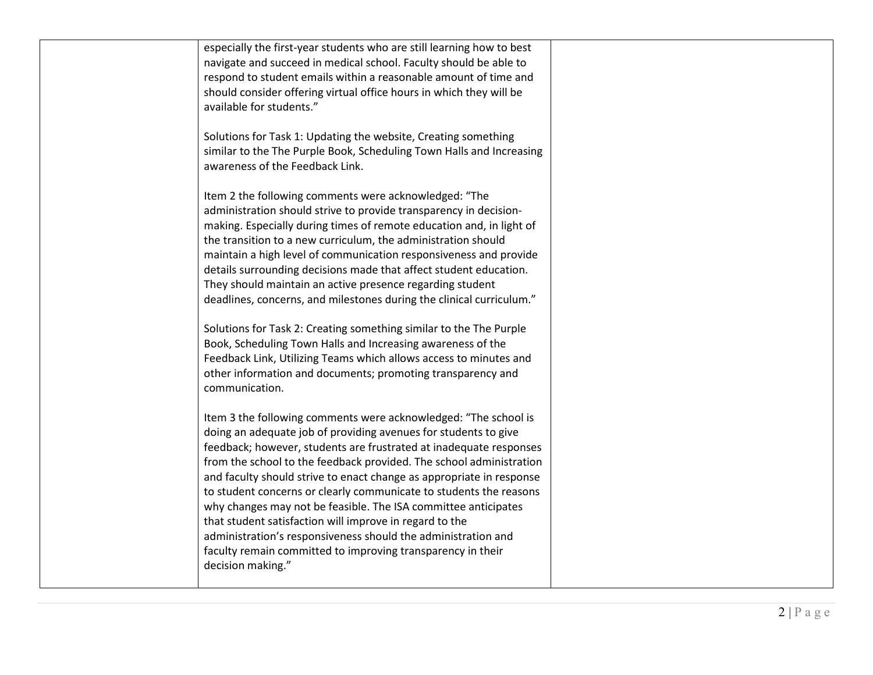| especially the first-year students who are still learning how to best<br>navigate and succeed in medical school. Faculty should be able to<br>respond to student emails within a reasonable amount of time and<br>should consider offering virtual office hours in which they will be<br>available for students."                                                                                                                                                                                                                                                                                                                                                                                               |  |
|-----------------------------------------------------------------------------------------------------------------------------------------------------------------------------------------------------------------------------------------------------------------------------------------------------------------------------------------------------------------------------------------------------------------------------------------------------------------------------------------------------------------------------------------------------------------------------------------------------------------------------------------------------------------------------------------------------------------|--|
| Solutions for Task 1: Updating the website, Creating something<br>similar to the The Purple Book, Scheduling Town Halls and Increasing<br>awareness of the Feedback Link.                                                                                                                                                                                                                                                                                                                                                                                                                                                                                                                                       |  |
| Item 2 the following comments were acknowledged: "The<br>administration should strive to provide transparency in decision-<br>making. Especially during times of remote education and, in light of<br>the transition to a new curriculum, the administration should<br>maintain a high level of communication responsiveness and provide<br>details surrounding decisions made that affect student education.<br>They should maintain an active presence regarding student<br>deadlines, concerns, and milestones during the clinical curriculum."                                                                                                                                                              |  |
| Solutions for Task 2: Creating something similar to the The Purple<br>Book, Scheduling Town Halls and Increasing awareness of the<br>Feedback Link, Utilizing Teams which allows access to minutes and<br>other information and documents; promoting transparency and<br>communication.                                                                                                                                                                                                                                                                                                                                                                                                                         |  |
| Item 3 the following comments were acknowledged: "The school is<br>doing an adequate job of providing avenues for students to give<br>feedback; however, students are frustrated at inadequate responses<br>from the school to the feedback provided. The school administration<br>and faculty should strive to enact change as appropriate in response<br>to student concerns or clearly communicate to students the reasons<br>why changes may not be feasible. The ISA committee anticipates<br>that student satisfaction will improve in regard to the<br>administration's responsiveness should the administration and<br>faculty remain committed to improving transparency in their<br>decision making." |  |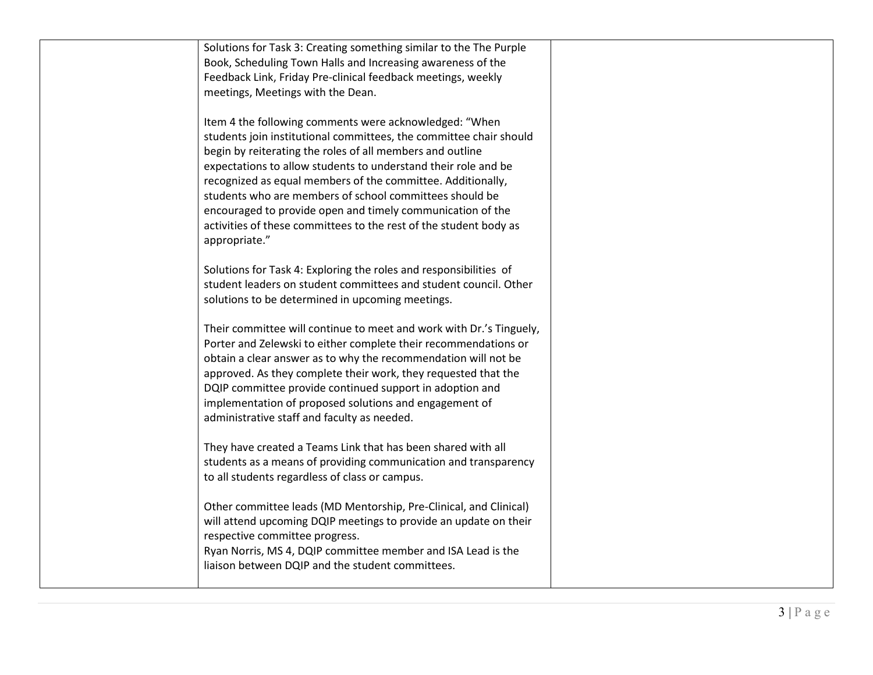| Solutions for Task 3: Creating something similar to the The Purple  |  |
|---------------------------------------------------------------------|--|
| Book, Scheduling Town Halls and Increasing awareness of the         |  |
| Feedback Link, Friday Pre-clinical feedback meetings, weekly        |  |
| meetings, Meetings with the Dean.                                   |  |
|                                                                     |  |
| Item 4 the following comments were acknowledged: "When              |  |
| students join institutional committees, the committee chair should  |  |
| begin by reiterating the roles of all members and outline           |  |
| expectations to allow students to understand their role and be      |  |
| recognized as equal members of the committee. Additionally,         |  |
| students who are members of school committees should be             |  |
|                                                                     |  |
| encouraged to provide open and timely communication of the          |  |
| activities of these committees to the rest of the student body as   |  |
| appropriate."                                                       |  |
|                                                                     |  |
| Solutions for Task 4: Exploring the roles and responsibilities of   |  |
| student leaders on student committees and student council. Other    |  |
| solutions to be determined in upcoming meetings.                    |  |
| Their committee will continue to meet and work with Dr.'s Tinguely, |  |
| Porter and Zelewski to either complete their recommendations or     |  |
|                                                                     |  |
| obtain a clear answer as to why the recommendation will not be      |  |
| approved. As they complete their work, they requested that the      |  |
| DQIP committee provide continued support in adoption and            |  |
| implementation of proposed solutions and engagement of              |  |
| administrative staff and faculty as needed.                         |  |
|                                                                     |  |
| They have created a Teams Link that has been shared with all        |  |
| students as a means of providing communication and transparency     |  |
| to all students regardless of class or campus.                      |  |
| Other committee leads (MD Mentorship, Pre-Clinical, and Clinical)   |  |
|                                                                     |  |
| will attend upcoming DQIP meetings to provide an update on their    |  |
| respective committee progress.                                      |  |
| Ryan Norris, MS 4, DQIP committee member and ISA Lead is the        |  |
| liaison between DQIP and the student committees.                    |  |
|                                                                     |  |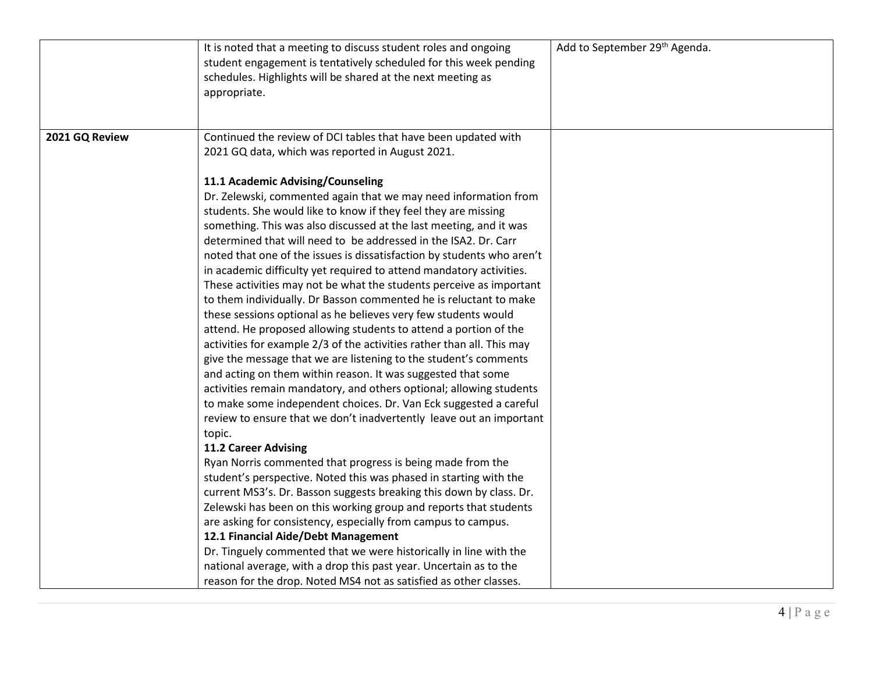|                | It is noted that a meeting to discuss student roles and ongoing<br>student engagement is tentatively scheduled for this week pending<br>schedules. Highlights will be shared at the next meeting as<br>appropriate.                                                                                                                                                                                                                                                                                                                                                                                                                                                                                                                                                                                                                                                                                                                                                                                                                                                                                                                                                                                                                                                                                                                                                                                                                                                                                                                                                                                                                                                                                                                                           | Add to September 29 <sup>th</sup> Agenda. |
|----------------|---------------------------------------------------------------------------------------------------------------------------------------------------------------------------------------------------------------------------------------------------------------------------------------------------------------------------------------------------------------------------------------------------------------------------------------------------------------------------------------------------------------------------------------------------------------------------------------------------------------------------------------------------------------------------------------------------------------------------------------------------------------------------------------------------------------------------------------------------------------------------------------------------------------------------------------------------------------------------------------------------------------------------------------------------------------------------------------------------------------------------------------------------------------------------------------------------------------------------------------------------------------------------------------------------------------------------------------------------------------------------------------------------------------------------------------------------------------------------------------------------------------------------------------------------------------------------------------------------------------------------------------------------------------------------------------------------------------------------------------------------------------|-------------------------------------------|
| 2021 GQ Review | Continued the review of DCI tables that have been updated with<br>2021 GQ data, which was reported in August 2021.                                                                                                                                                                                                                                                                                                                                                                                                                                                                                                                                                                                                                                                                                                                                                                                                                                                                                                                                                                                                                                                                                                                                                                                                                                                                                                                                                                                                                                                                                                                                                                                                                                            |                                           |
|                | 11.1 Academic Advising/Counseling<br>Dr. Zelewski, commented again that we may need information from<br>students. She would like to know if they feel they are missing<br>something. This was also discussed at the last meeting, and it was<br>determined that will need to be addressed in the ISA2. Dr. Carr<br>noted that one of the issues is dissatisfaction by students who aren't<br>in academic difficulty yet required to attend mandatory activities.<br>These activities may not be what the students perceive as important<br>to them individually. Dr Basson commented he is reluctant to make<br>these sessions optional as he believes very few students would<br>attend. He proposed allowing students to attend a portion of the<br>activities for example 2/3 of the activities rather than all. This may<br>give the message that we are listening to the student's comments<br>and acting on them within reason. It was suggested that some<br>activities remain mandatory, and others optional; allowing students<br>to make some independent choices. Dr. Van Eck suggested a careful<br>review to ensure that we don't inadvertently leave out an important<br>topic.<br><b>11.2 Career Advising</b><br>Ryan Norris commented that progress is being made from the<br>student's perspective. Noted this was phased in starting with the<br>current MS3's. Dr. Basson suggests breaking this down by class. Dr.<br>Zelewski has been on this working group and reports that students<br>are asking for consistency, especially from campus to campus.<br>12.1 Financial Aide/Debt Management<br>Dr. Tinguely commented that we were historically in line with the<br>national average, with a drop this past year. Uncertain as to the |                                           |
|                | reason for the drop. Noted MS4 not as satisfied as other classes.                                                                                                                                                                                                                                                                                                                                                                                                                                                                                                                                                                                                                                                                                                                                                                                                                                                                                                                                                                                                                                                                                                                                                                                                                                                                                                                                                                                                                                                                                                                                                                                                                                                                                             |                                           |